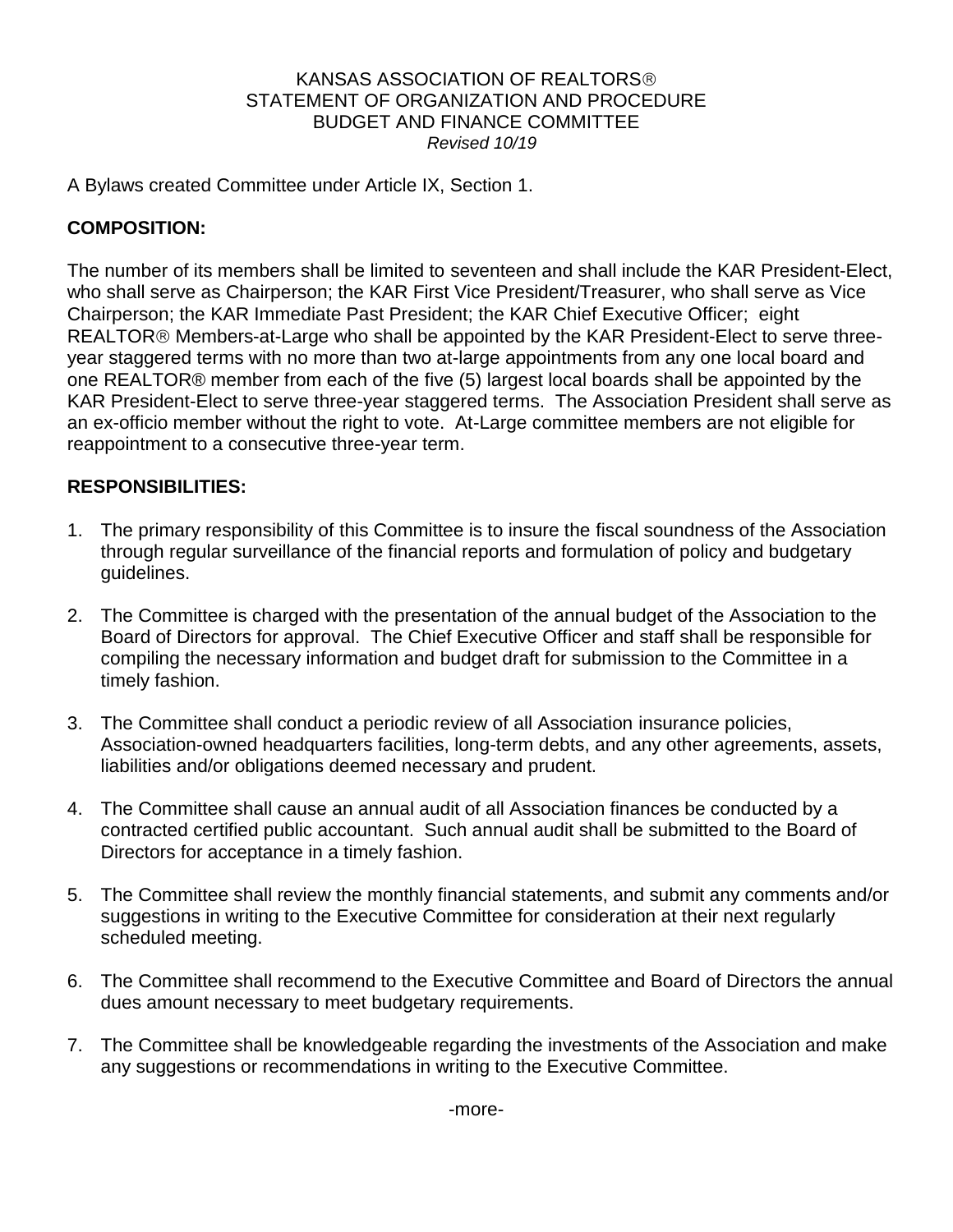## KANSAS ASSOCIATION OF REALTORS STATEMENT OF ORGANIZATION AND PROCEDURE BUDGET AND FINANCE COMMITTEE *Revised 10/19*

A Bylaws created Committee under Article IX, Section 1.

## **COMPOSITION:**

The number of its members shall be limited to seventeen and shall include the KAR President-Elect, who shall serve as Chairperson; the KAR First Vice President/Treasurer, who shall serve as Vice Chairperson; the KAR Immediate Past President; the KAR Chief Executive Officer; eight REALTOR<sup>®</sup> Members-at-Large who shall be appointed by the KAR President-Elect to serve threeyear staggered terms with no more than two at-large appointments from any one local board and one REALTOR® member from each of the five (5) largest local boards shall be appointed by the KAR President-Elect to serve three-year staggered terms. The Association President shall serve as an ex-officio member without the right to vote. At-Large committee members are not eligible for reappointment to a consecutive three-year term.

## **RESPONSIBILITIES:**

- 1. The primary responsibility of this Committee is to insure the fiscal soundness of the Association through regular surveillance of the financial reports and formulation of policy and budgetary guidelines.
- 2. The Committee is charged with the presentation of the annual budget of the Association to the Board of Directors for approval. The Chief Executive Officer and staff shall be responsible for compiling the necessary information and budget draft for submission to the Committee in a timely fashion.
- 3. The Committee shall conduct a periodic review of all Association insurance policies, Association-owned headquarters facilities, long-term debts, and any other agreements, assets, liabilities and/or obligations deemed necessary and prudent.
- 4. The Committee shall cause an annual audit of all Association finances be conducted by a contracted certified public accountant. Such annual audit shall be submitted to the Board of Directors for acceptance in a timely fashion.
- 5. The Committee shall review the monthly financial statements, and submit any comments and/or suggestions in writing to the Executive Committee for consideration at their next regularly scheduled meeting.
- 6. The Committee shall recommend to the Executive Committee and Board of Directors the annual dues amount necessary to meet budgetary requirements.
- 7. The Committee shall be knowledgeable regarding the investments of the Association and make any suggestions or recommendations in writing to the Executive Committee.